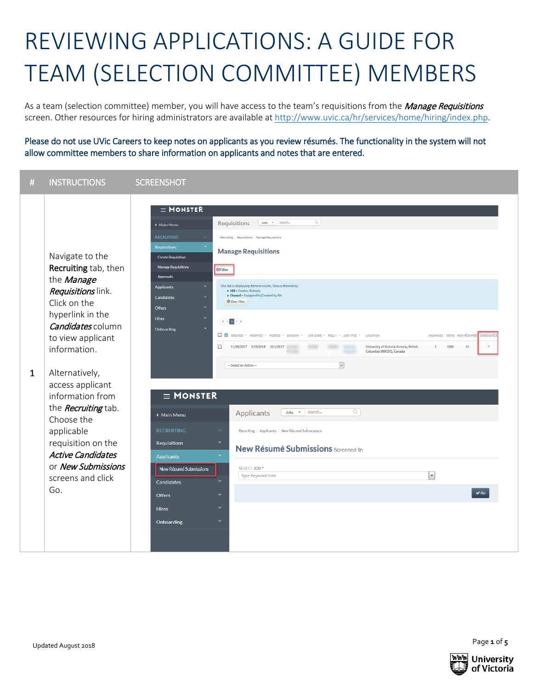## REVIEWING APPLICATIONS: A GUIDE FOR TEAM (SELECTION COMMITTEE) MEMBERS

As a team (selection committee) member, you will have access to the team's requisitions from the Manage Requisitions screen. Other resources for hiring administrators are available at [http://www.uvic.ca/hr/services/home/hiring/index.php.](http://www.uvic.ca/hr/services/home/hiring/index.php)

Please do not use UVic Careers to keep notes on applicants as you review résumés. The functionality in the system will not allow committee members to share information on applicants and notes that are entered.

| <b>INSTRUCTIONS</b><br>$\#$                                                                                                                                                                                                                                                                                                                                                                                       | <b>SCREENSHOT</b>                                                                                                                                                                                                                                                                                                                                                                                                                                                                                                                                                                                                                                                                                                                                                                                                                                                                                                                                                                                                                                                                                                                                                                                                                                                                                                                                                           |
|-------------------------------------------------------------------------------------------------------------------------------------------------------------------------------------------------------------------------------------------------------------------------------------------------------------------------------------------------------------------------------------------------------------------|-----------------------------------------------------------------------------------------------------------------------------------------------------------------------------------------------------------------------------------------------------------------------------------------------------------------------------------------------------------------------------------------------------------------------------------------------------------------------------------------------------------------------------------------------------------------------------------------------------------------------------------------------------------------------------------------------------------------------------------------------------------------------------------------------------------------------------------------------------------------------------------------------------------------------------------------------------------------------------------------------------------------------------------------------------------------------------------------------------------------------------------------------------------------------------------------------------------------------------------------------------------------------------------------------------------------------------------------------------------------------------|
| Navigate to the<br>Recruiting tab, then<br>the Manage<br>Requisitions link.<br>Click on the<br>hyperlink in the<br>Candidates column<br>to view applicant<br>information.<br>Alternatively,<br>$\mathbf{1}$<br>access applicant<br>information from<br>the <i>Recruiting</i> tab.<br>Choose the<br>applicable<br>requisition on the<br><b>Active Candidates</b><br>or New Submissions<br>screens and click<br>Go. | $\equiv$ MONSTER<br>$Q_{\rm c}$<br>Requisitions<br>Jobs - Search<br><b>4 Main Menu</b><br><b>RECRUITING</b><br>Recruiting / Requisitions / Manage Requisitions<br><b>Requisitions</b><br><b>Manage Requisitions</b><br><b>Create Requisition</b><br>Manage Requisitions<br><b>ED</b> Fitter<br>Approvals<br>This list is displaying filtered results. View is filtered by:<br><b>Applicants</b><br>· HM - Fontes, Belinda<br>. Owned = Assigned to/Created by Me<br>Candidates<br>Clear Filter<br>Offers<br><b>Hires</b><br>$\kappa$ , $\epsilon$ . If $>$ , $\kappa$<br><b>Onboarding</b><br><b>D</b> CREATED * MODIFIED * POSTED * DIVISION * JOB CODE * REQ. # * JOB TITLE *<br>VACANCIES VIEWS NEW RÉSUMÉS<br>LOCATION<br>$\Box$<br>11/28/2017 1/18/2018 12/1/2017<br>University of Victoria Victoria, British<br>1084<br>64<br>1<br>Columbia V8W 2Y2, Canada<br>$\check{\mathbf{v}}$<br>- Select an Action --<br>$\equiv$ MONSTER<br>Q<br><b>Applicants</b><br>Search<br>Jobs<br>$\overline{\phantom{a}}$<br>◆ Main Menu<br><b>RECRUITING</b><br>$\sim$<br>Recruiting / Applicants / New Résumé Submissions<br><b>Requisitions</b><br>New Résumé Submissions Screened-In<br><b>Applicants</b><br>SELECT JOB <sup>*</sup><br>New Résumé Submissions<br>÷<br>Type Keyword Here<br>Candidates<br>$\vee$ Go<br><b>Offers</b><br>$\checkmark$<br><b>Hires</b><br>Onboarding |

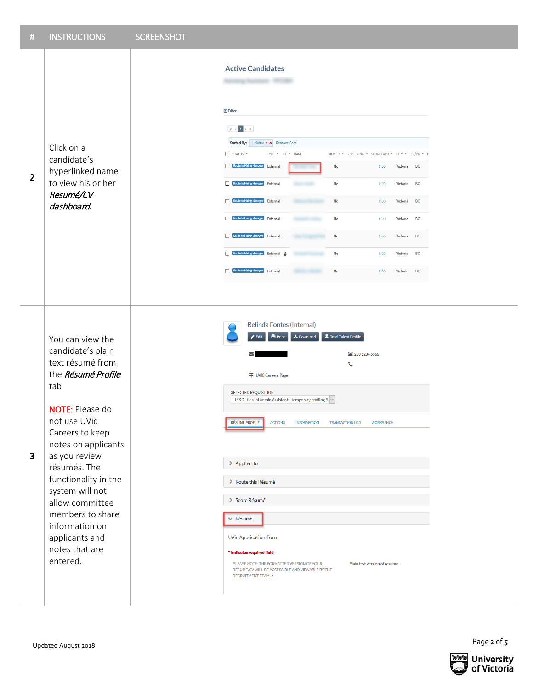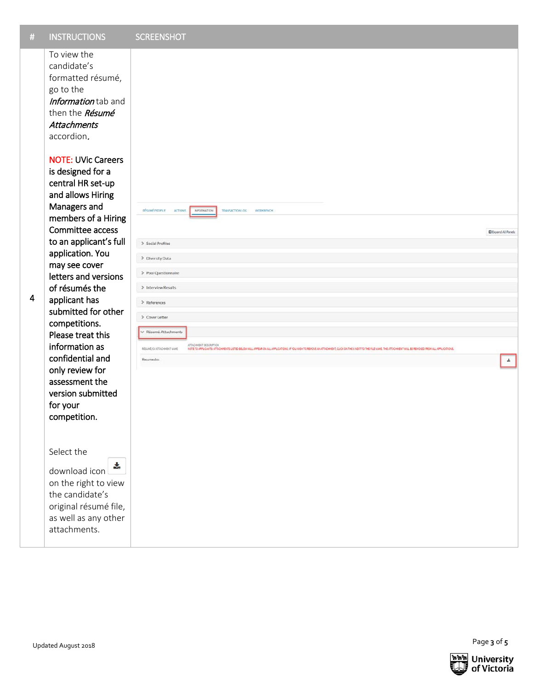| $\#$                    | <b>INSTRUCTIONS</b>                                                                                                                                                                                                                                    | <b>SCREENSHOT</b>                                                                                                                                                                                                                                                                            |                            |
|-------------------------|--------------------------------------------------------------------------------------------------------------------------------------------------------------------------------------------------------------------------------------------------------|----------------------------------------------------------------------------------------------------------------------------------------------------------------------------------------------------------------------------------------------------------------------------------------------|----------------------------|
|                         | To view the<br>candidate's<br>formatted résumé,<br>go to the<br>Information tab and<br>then the Résumé<br><b>Attachments</b><br>accordion.<br><b>NOTE: UVic Careers</b><br>is designed for a<br>central HR set-up<br>and allows Hiring<br>Managers and | RÉSUMÉ PROFILE<br><b>ACTIONS</b><br>INFORMATION<br>TRANSACTION LOG<br>WORKBENCH                                                                                                                                                                                                              |                            |
|                         | members of a Hiring<br>Committee access                                                                                                                                                                                                                |                                                                                                                                                                                                                                                                                              | <b>D</b> Expand All Panels |
|                         | to an applicant's full<br>application. You<br>may see cover                                                                                                                                                                                            | > Social Profiles<br>> Diversity Data                                                                                                                                                                                                                                                        |                            |
|                         | letters and versions<br>of résumés the                                                                                                                                                                                                                 | > Pool Questionnaire<br>> Interview Results                                                                                                                                                                                                                                                  |                            |
| $\overline{\mathbf{4}}$ | applicant has                                                                                                                                                                                                                                          | > References                                                                                                                                                                                                                                                                                 |                            |
|                         | submitted for other<br>competitions.                                                                                                                                                                                                                   | > Cover Letter                                                                                                                                                                                                                                                                               |                            |
|                         | Please treat this<br>information as                                                                                                                                                                                                                    | ← Résumé Attachments<br>ATTACHMENT DESCRIPTION<br>RÉSUMÉ/CV ATTACHMENT NAME<br>NOTE TO APPLICANTS: ATTACHMENTS USTED BELOW WILL APPEAR ON ALL APPLICATIONS: IF YOU WISH TO REMOVE AN ATTACHMENT, CLICK ON THE X NEXT TO THE FILE NAME. THE ATTACHMENT WILL BE REMOVED FROM ALL APPLICATIONS. |                            |
|                         | confidential and<br>only review for<br>assessment the<br>version submitted<br>for your<br>competition.                                                                                                                                                 | Resume.doc                                                                                                                                                                                                                                                                                   | $\tau$                     |
|                         | Select the<br>志<br>download icon<br>on the right to view                                                                                                                                                                                               |                                                                                                                                                                                                                                                                                              |                            |
|                         | the candidate's<br>original résumé file,<br>as well as any other<br>attachments.                                                                                                                                                                       |                                                                                                                                                                                                                                                                                              |                            |
|                         |                                                                                                                                                                                                                                                        |                                                                                                                                                                                                                                                                                              |                            |
|                         |                                                                                                                                                                                                                                                        |                                                                                                                                                                                                                                                                                              |                            |
|                         | Updated August 2018                                                                                                                                                                                                                                    |                                                                                                                                                                                                                                                                                              | Page 3 of 5                |

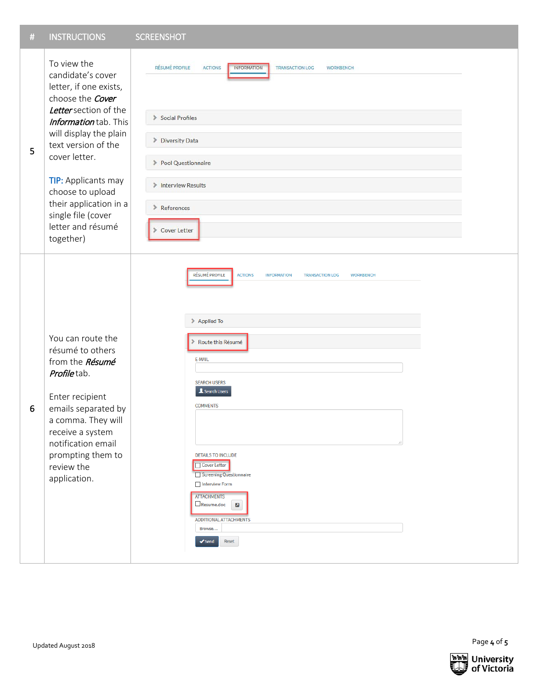| $\#$ | <b>INSTRUCTIONS</b>                                                                                                                                                                                                                                  | <b>SCREENSHOT</b>                                                                                                                                                                                                                                                                                                                                                                                                                                      |
|------|------------------------------------------------------------------------------------------------------------------------------------------------------------------------------------------------------------------------------------------------------|--------------------------------------------------------------------------------------------------------------------------------------------------------------------------------------------------------------------------------------------------------------------------------------------------------------------------------------------------------------------------------------------------------------------------------------------------------|
| 5    | To view the<br>candidate's cover<br>letter, if one exists,<br>choose the Cover<br>Letter section of the<br>Information tab. This<br>will display the plain<br>text version of the<br>cover letter.<br><b>TIP:</b> Applicants may<br>choose to upload | RÉSUMÉ PROFILE<br><b>ACTIONS</b><br><b>INFORMATION</b><br><b>TRANSACTION LOG</b><br><b>WORKBENCH</b>                                                                                                                                                                                                                                                                                                                                                   |
|      |                                                                                                                                                                                                                                                      | Social Profiles<br>Diversity Data                                                                                                                                                                                                                                                                                                                                                                                                                      |
|      |                                                                                                                                                                                                                                                      | > Pool Questionnaire                                                                                                                                                                                                                                                                                                                                                                                                                                   |
|      |                                                                                                                                                                                                                                                      | > Interview Results                                                                                                                                                                                                                                                                                                                                                                                                                                    |
|      | their application in a<br>single file (cover<br>letter and résumé<br>together)                                                                                                                                                                       | > References<br>Cover Letter                                                                                                                                                                                                                                                                                                                                                                                                                           |
| 6    | You can route the<br>résumé to others<br>from the Résumé<br>Profiletab.<br>Enter recipient<br>emails separated by<br>a comma. They will<br>receive a system<br>notification email<br>prompting them to<br>review the<br>application.                 | <b>ACTIONS</b><br><b>RÉSUMÉ PROFILE</b><br><b>INFORMATION</b><br><b>TRANSACTION LOG</b><br><b>WORKBENCH</b><br>> Applied To<br>Route this Résumé<br>E-MAIL<br><b>SEARCH USERS</b><br>Search Users<br><b>COMMENTS</b><br><b>DETAILS TO INCLUDE</b><br>□ Cover Letter<br>Screening Questionnaire<br>Interview Form<br><b>ATTACHMENTS</b><br>Resume.doc<br>$\mathbf{z}$<br><b>ADDITIONAL ATTACHMENTS</b><br>Browse<br>$\blacktriangleright$ Send<br>Reset |